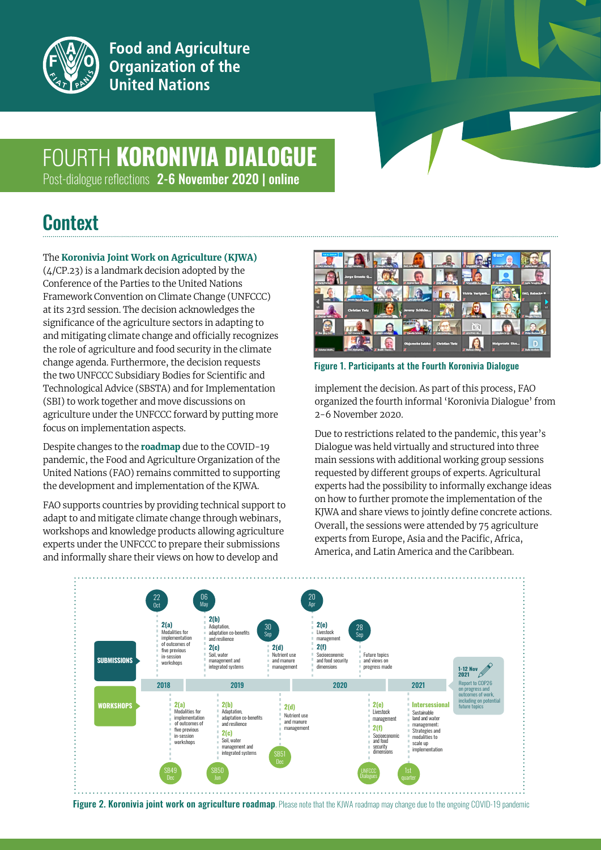

**Food and Agriculture** Organization of the **United Nations** 

# FOURTH **KORONIVIA DIALOGUE**

Post-dialogue reflections 2-6 November 2020 | online

### **Context**

#### The **[Koronivia Joint Work on Agriculture \(KJWA\)](http://www.fao.org/climate-change/our-work/what-we-do/koronivia/en/)**

(4/CP.23) is a landmark decision adopted by the Conference of the Parties to the United Nations Framework Convention on Climate Change (UNFCCC) at its 23rd session. The decision acknowledges the significance of the agriculture sectors in adapting to and mitigating climate change and officially recognizes the role of agriculture and food security in the climate change agenda. Furthermore, the decision requests the two UNFCCC Subsidiary Bodies for Scientific and Technological Advice (SBSTA) and for Implementation (SBI) to work together and move discussions on agriculture under the UNFCCC forward by putting more focus on implementation aspects.

Despite changes to the **[roadmap](http://www.fao.org/climate-change/our-work/what-we-do/koronivia/kjwa-road-map/en/)** due to the COVID-19 pandemic, the Food and Agriculture Organization of the United Nations (FAO) remains committed to supporting the development and implementation of the KJWA.

FAO supports countries by providing technical support to adapt to and mitigate climate change through webinars, workshops and knowledge products allowing agriculture experts under the UNFCCC to prepare their submissions and informally share their views on how to develop and



Figure 1. Participants at the Fourth Koronivia Dialogue

implement the decision. As part of this process, FAO organized the fourth informal 'Koronivia Dialogue' from 2-6 November 2020.

Due to restrictions related to the pandemic, this year's Dialogue was held virtually and structured into three main sessions with additional working group sessions requested by different groups of experts. Agricultural experts had the possibility to informally exchange ideas on how to further promote the implementation of the KJWA and share views to jointly define concrete actions. Overall, the sessions were attended by 75 agriculture experts from Europe, Asia and the Pacific, Africa, America, and Latin America and the Caribbean.



Figure 2. Koronivia joint work on agriculture roadmap. Please note that the KJWA roadmap may change due to the ongoing COVID-19 pandemic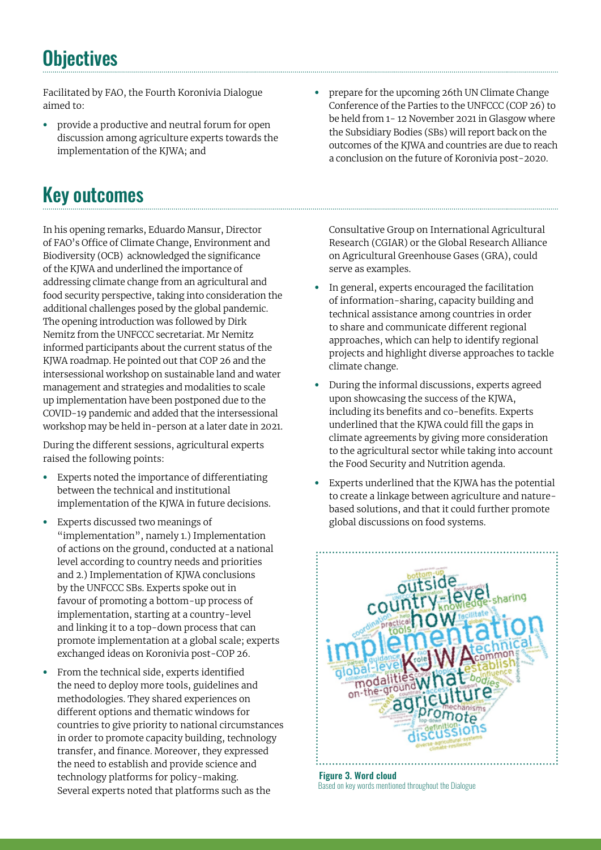### **Objectives**

Facilitated by FAO, the Fourth Koronivia Dialogue aimed to:

**•** provide a productive and neutral forum for open discussion among agriculture experts towards the implementation of the KJWA; and

# Key outcomes

In his opening remarks, Eduardo Mansur, Director of FAO's Office of Climate Change, Environment and Biodiversity (OCB) acknowledged the significance of the KJWA and underlined the importance of addressing climate change from an agricultural and food security perspective, taking into consideration the additional challenges posed by the global pandemic. The opening introduction was followed by Dirk Nemitz from the UNFCCC secretariat. Mr Nemitz informed participants about the current status of the KJWA roadmap. He pointed out that COP 26 and the intersessional workshop on sustainable land and water management and strategies and modalities to scale up implementation have been postponed due to the COVID-19 pandemic and added that the intersessional workshop may be held in-person at a later date in 2021.

During the different sessions, agricultural experts raised the following points:

- **•** Experts noted the importance of differentiating between the technical and institutional implementation of the KJWA in future decisions.
- **•** Experts discussed two meanings of "implementation", namely 1.) Implementation of actions on the ground, conducted at a national level according to country needs and priorities and 2.) Implementation of KJWA conclusions by the UNFCCC SBs. Experts spoke out in favour of promoting a bottom-up process of implementation, starting at a country-level and linking it to a top-down process that can promote implementation at a global scale; experts exchanged ideas on Koronivia post-COP 26.
- **•** From the technical side, experts identified the need to deploy more tools, guidelines and methodologies. They shared experiences on different options and thematic windows for countries to give priority to national circumstances in order to promote capacity building, technology transfer, and finance. Moreover, they expressed the need to establish and provide science and technology platforms for policy-making. Several experts noted that platforms such as the

**•** prepare for the upcoming 26th UN Climate Change Conference of the Parties to the UNFCCC (COP 26) to be held from 1- 12 November 2021 in Glasgow where the Subsidiary Bodies (SBs) will report back on the outcomes of the KJWA and countries are due to reach a conclusion on the future of Koronivia post-2020.

Consultative Group on International Agricultural Research (CGIAR) or the Global Research Alliance on Agricultural Greenhouse Gases (GRA), could serve as examples.

- **•** In general, experts encouraged the facilitation of information-sharing, capacity building and technical assistance among countries in order to share and communicate different regional approaches, which can help to identify regional projects and highlight diverse approaches to tackle climate change.
- **•** During the informal discussions, experts agreed upon showcasing the success of the KJWA, including its benefits and co-benefits. Experts underlined that the KJWA could fill the gaps in climate agreements by giving more consideration to the agricultural sector while taking into account the Food Security and Nutrition agenda.
- **•** Experts underlined that the KJWA has the potential to create a linkage between agriculture and naturebased solutions, and that it could further promote global discussions on food systems.



Figure 3. Word cloud Based on key words mentioned throughout the Dialogue